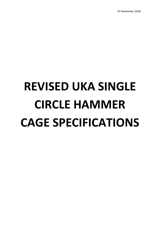07 November 2018

# **REVISED UKA SINGLE CIRCLE HAMMER CAGE SPECIFICATIONS**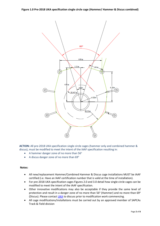

**ACTION:** All pre-2018 UKA specification single circle cages (hammer only and combined hammer & discus), must be modified to meet the intent of the IAAF specification resulting in:

- A hammer danger zone of no more than 56°
- A discus danger zone of no more than  $69^\circ$

# **Notes:**

- All new/replacement Hammer/Combined Hammer & Discus cage installations MUST be IAAF certified (i.e. Have an IAAF certification number that is valid at the time of installation).
- For pre-2018 UKA specification cages Figures 2.0 and 3.0 detail how single circle cages can be modified to meet the intent of the IAAF specification.
- Other innovative modifications may also be acceptable if they provide the same level of protection and result in a danger zone of no more than 56 $^{\circ}$  (Hammer) and no more than 69 $^{\circ}$ (Discus). Please contac[t UKA](mailto:Facilities@uka.org.uk?subject=UKA%20Cage%20Modification) to discuss prior to modification work commencing.
- All cage modifications/installations must be carried out by an approved member of SAPCAs Track & Field division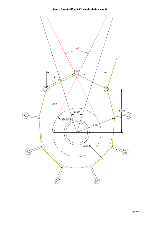

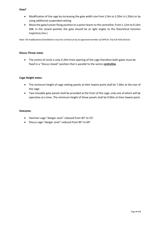# **How?**

- Modification of the cage by increasing the gate width size from 2.0m to 3.20m (+1.20m) or by using additional suspended netting.
- Move the gate/curtain fixing position to a point nearer to the centreline: From 1.12m to 0.14m (NB. In the closed position the gate should be at right angles to the theoretical hammer trajectory line.)

*Note: All modifications/installations must be carried out by an approved member of SAPCAs Track & Field division*

# **Discus Throw notes**

• The centre of circle is only 4.20m from opening of the cage therefore both gates must be fixed in a "discus closed" position that is parallel to the sector **centreline**

# **Cage Height notes:**

- The minimum height of cage netting panels at their lowest point shall be 7.00m at the rear of the cage.
- Two movable gate panels shall be provided at the front of the cage, only one of which will be operative at a time. The minimum height of these panels shall be 9.00m at their lowest point.

# **Outcome**:

- Hammer cage "danger zone" reduced from 83 $^{\circ}$  to 53 $^{\circ}$
- $\bullet$  Discus cage "danger zone" reduced from 85 $^{\circ}$  to 69 $^{\circ}$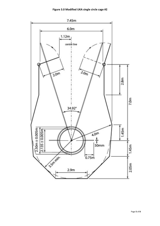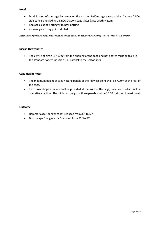# **How?**

- Modification of the cage by removing the existing 9.00m cage gates, adding 2x new 2.80m side panels and adding 2 x new 10.00m cage gates (gate width = 2.0m).
- Replace existing netting with new netting
- 4 x new gate fixing points drilled

*Note: All modifications/installations must be carried out by an approved member of SAPCAs Track & Field division*

# **Discus Throw notes**

• The centre of circle is 7.00m from the opening of the cage and both gates must be fixed in the standard "open" position (i.e. parallel to the sector line)

# **Cage Height notes:**

- The minimum height of cage netting panels at their lowest point shall be 7.00m at the rear of the cage.
- Two movable gate panels shall be provided at the front of the cage, only one of which will be operative at a time. The minimum height of these panels shall be 10.00m at their lowest point.

# **Outcome**:

- Hammer cage "danger zone" reduced from 83 $^{\circ}$  to 53 $^{\circ}$
- Discus cage "danger zone" reduced from  $85^\circ$  to  $69^\circ$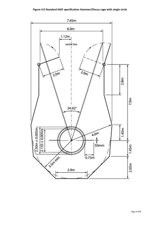